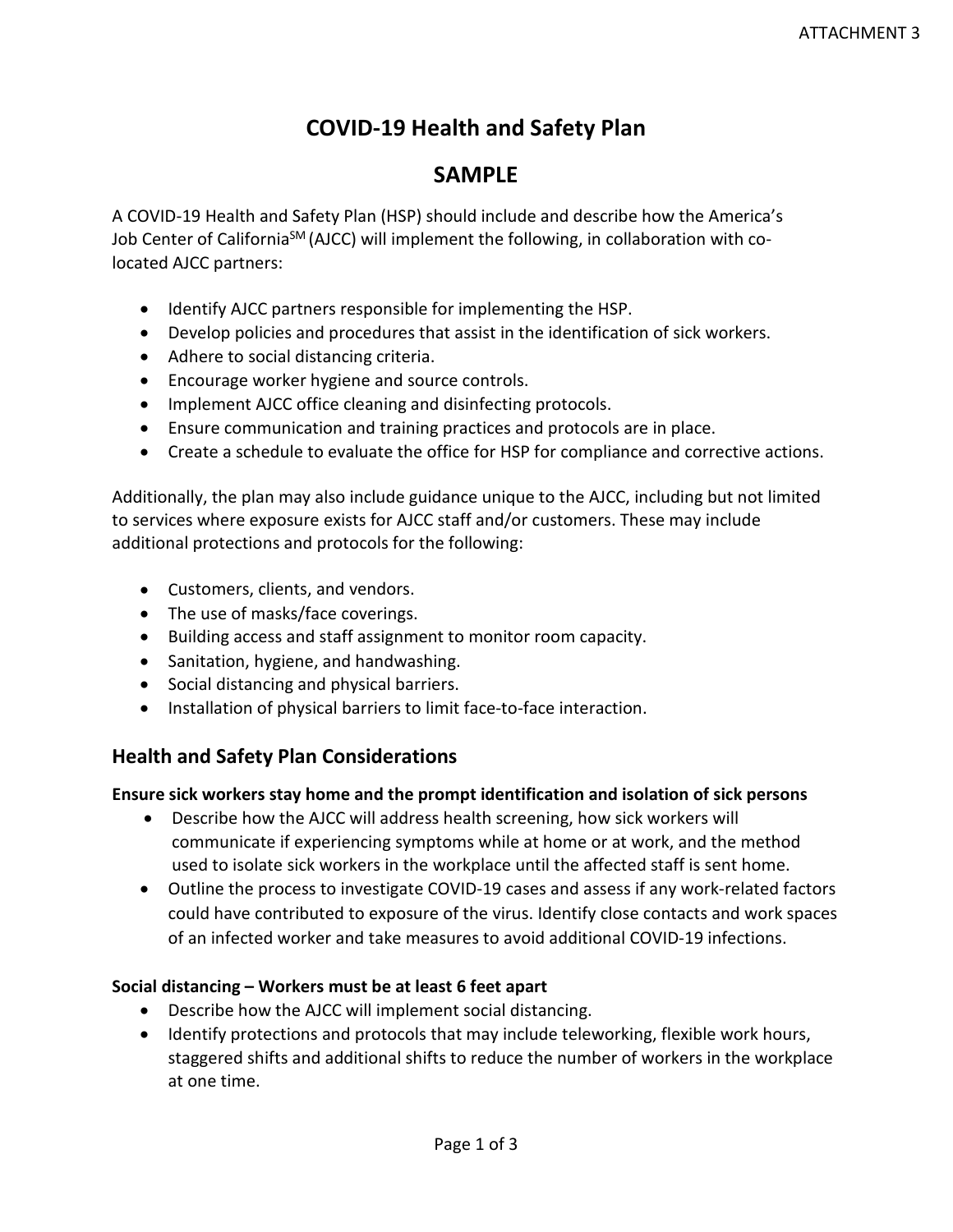# **COVID-19 Health and Safety Plan**

# **SAMPLE**

A COVID-19 Health and Safety Plan (HSP) should include and describe how the America's Job Center of California<sup>SM</sup> (AJCC) will implement the following, in collaboration with colocated AJCC partners:

- Identify AJCC partners responsible for implementing the HSP.
- Develop policies and procedures that assist in the identification of sick workers.
- Adhere to social distancing criteria.
- Encourage worker hygiene and source controls.
- Implement AJCC office cleaning and disinfecting protocols.
- Ensure communication and training practices and protocols are in place.
- Create a schedule to evaluate the office for HSP for compliance and corrective actions.

Additionally, the plan may also include guidance unique to the AJCC, including but not limited to services where exposure exists for AJCC staff and/or customers. These may include additional protections and protocols for the following:

- Customers, clients, and vendors.
- The use of masks/face coverings.
- Building access and staff assignment to monitor room capacity.
- Sanitation, hygiene, and handwashing.
- Social distancing and physical barriers.
- Installation of physical barriers to limit face-to-face interaction.

## **Health and Safety Plan Considerations**

## **Ensure sick workers stay home and the prompt identification and isolation of sick persons**

- Describe how the AJCC will address health screening, how sick workers will communicate if experiencing symptoms while at home or at work, and the method used to isolate sick workers in the workplace until the affected staff is sent home.
- Outline the process to investigate COVID-19 cases and assess if any work-related factors could have contributed to exposure of the virus. Identify close contacts and work spaces of an infected worker and take measures to avoid additional COVID-19 infections.

## **Social distancing – Workers must be at least 6 feet apart**

- Describe how the AJCC will implement social distancing.
- Identify protections and protocols that may include teleworking, flexible work hours, staggered shifts and additional shifts to reduce the number of workers in the workplace at one time.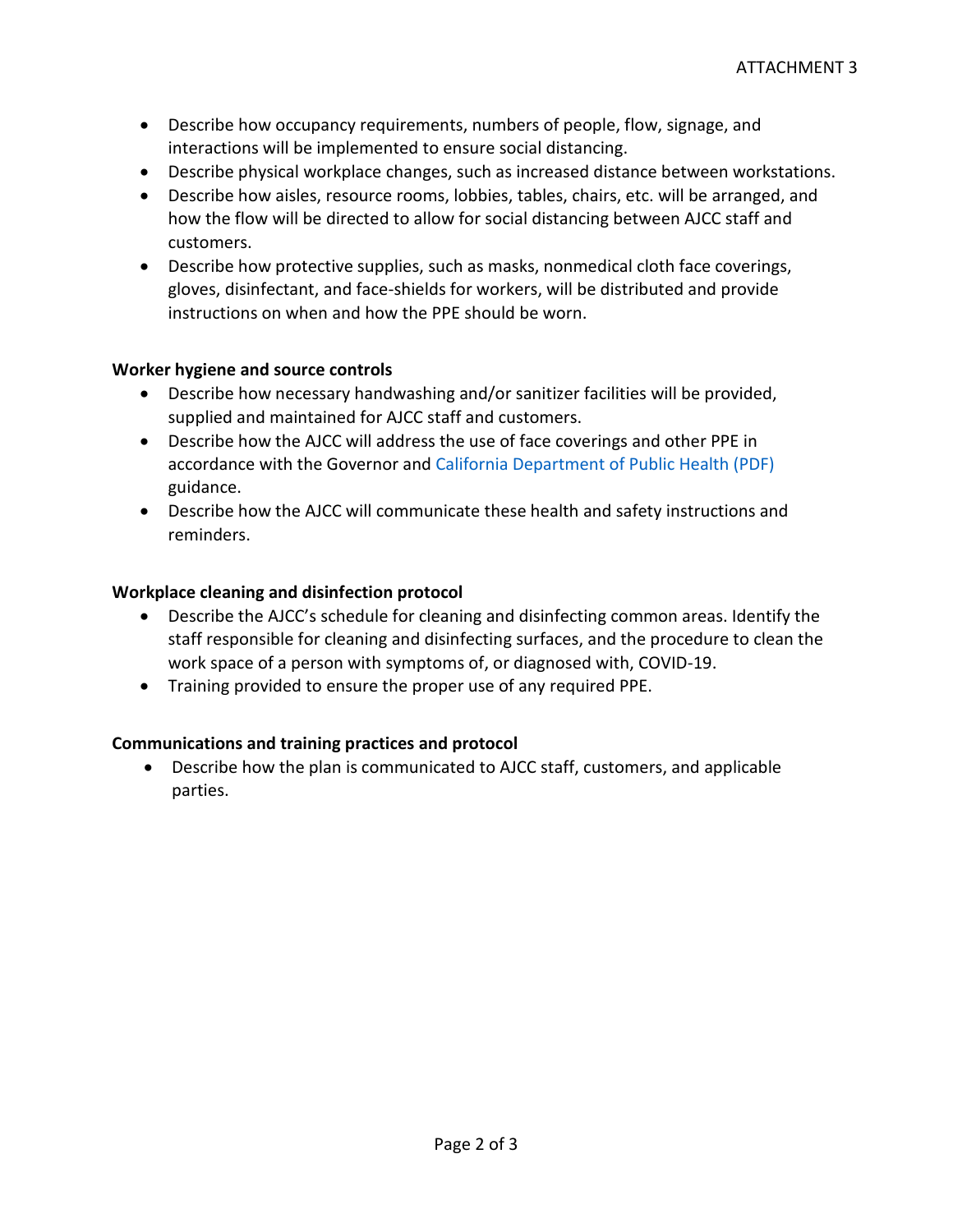- Describe how occupancy requirements, numbers of people, flow, signage, and interactions will be implemented to ensure social distancing.
- Describe physical workplace changes, such as increased distance between workstations.
- Describe how aisles, resource rooms, lobbies, tables, chairs, etc. will be arranged, and how the flow will be directed to allow for social distancing between AJCC staff and customers.
- Describe how protective supplies, such as masks, nonmedical cloth face coverings, gloves, disinfectant, and face-shields for workers, will be distributed and provide instructions on when and how the PPE should be worn.

## **Worker hygiene and source controls**

- Describe how necessary handwashing and/or sanitizer facilities will be provided, supplied and maintained for AJCC staff and customers.
- Describe how the AJCC will address the use of face coverings and other PPE in accordance with the Governor and [California Department of Public](https://www.cdph.ca.gov/Programs/CID/DCDC/CDPH%20Document%20Library/COVID-19/Guidance-for-Face-Coverings_06-18-2020.pdf) Health (PDF) guidance.
- Describe how the AJCC will communicate these health and safety instructions and reminders.

### **Workplace cleaning and disinfection protocol**

- Describe the AJCC's schedule for cleaning and disinfecting common areas. Identify the staff responsible for cleaning and disinfecting surfaces, and the procedure to clean the work space of a person with symptoms of, or diagnosed with, COVID-19.
- Training provided to ensure the proper use of any required PPE.

## **Communications and training practices and protocol**

• Describe how the plan is communicated to AJCC staff, customers, and applicable parties.